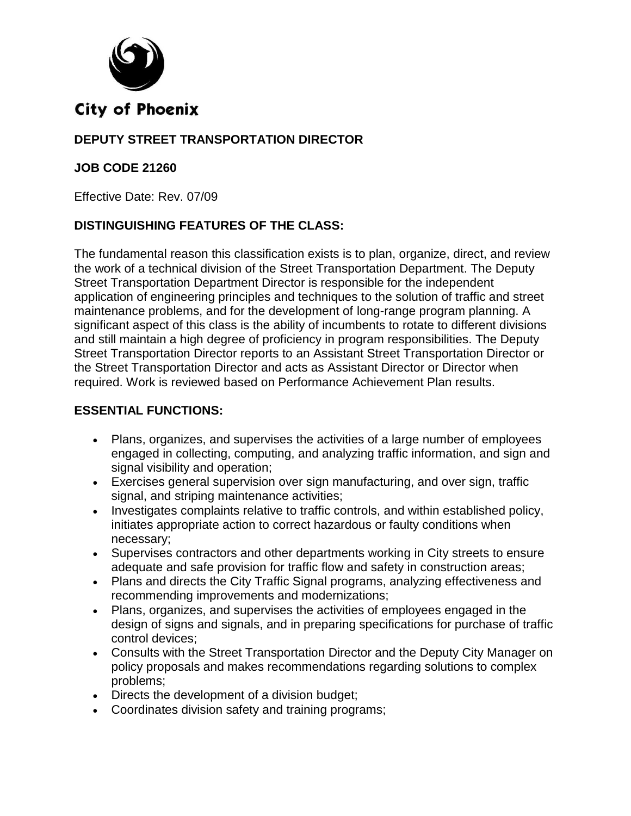

## **City of Phoenix**

## **DEPUTY STREET TRANSPORTATION DIRECTOR**

### **JOB CODE 21260**

Effective Date: Rev. 07/09

### **DISTINGUISHING FEATURES OF THE CLASS:**

The fundamental reason this classification exists is to plan, organize, direct, and review the work of a technical division of the Street Transportation Department. The Deputy Street Transportation Department Director is responsible for the independent application of engineering principles and techniques to the solution of traffic and street maintenance problems, and for the development of long-range program planning. A significant aspect of this class is the ability of incumbents to rotate to different divisions and still maintain a high degree of proficiency in program responsibilities. The Deputy Street Transportation Director reports to an Assistant Street Transportation Director or the Street Transportation Director and acts as Assistant Director or Director when required. Work is reviewed based on Performance Achievement Plan results.

#### **ESSENTIAL FUNCTIONS:**

- Plans, organizes, and supervises the activities of a large number of employees engaged in collecting, computing, and analyzing traffic information, and sign and signal visibility and operation;
- Exercises general supervision over sign manufacturing, and over sign, traffic signal, and striping maintenance activities;
- Investigates complaints relative to traffic controls, and within established policy, initiates appropriate action to correct hazardous or faulty conditions when necessary;
- Supervises contractors and other departments working in City streets to ensure adequate and safe provision for traffic flow and safety in construction areas;
- Plans and directs the City Traffic Signal programs, analyzing effectiveness and recommending improvements and modernizations;
- Plans, organizes, and supervises the activities of employees engaged in the design of signs and signals, and in preparing specifications for purchase of traffic control devices;
- Consults with the Street Transportation Director and the Deputy City Manager on policy proposals and makes recommendations regarding solutions to complex problems;
- Directs the development of a division budget;
- Coordinates division safety and training programs;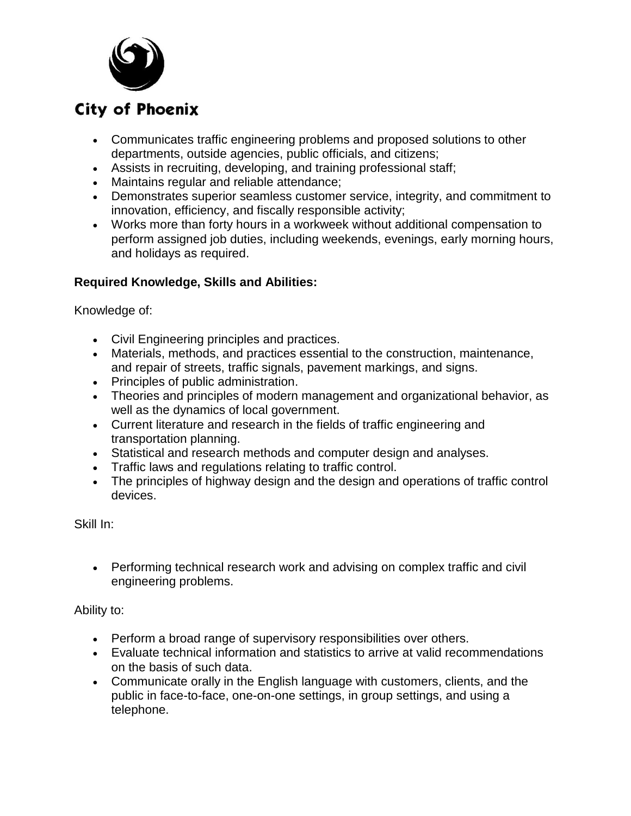

# **City of Phoenix**

- Communicates traffic engineering problems and proposed solutions to other departments, outside agencies, public officials, and citizens;
- Assists in recruiting, developing, and training professional staff;
- Maintains regular and reliable attendance;
- Demonstrates superior seamless customer service, integrity, and commitment to innovation, efficiency, and fiscally responsible activity;
- Works more than forty hours in a workweek without additional compensation to perform assigned job duties, including weekends, evenings, early morning hours, and holidays as required.

### **Required Knowledge, Skills and Abilities:**

Knowledge of:

- Civil Engineering principles and practices.
- Materials, methods, and practices essential to the construction, maintenance, and repair of streets, traffic signals, pavement markings, and signs.
- Principles of public administration.
- Theories and principles of modern management and organizational behavior, as well as the dynamics of local government.
- Current literature and research in the fields of traffic engineering and transportation planning.
- Statistical and research methods and computer design and analyses.
- Traffic laws and regulations relating to traffic control.
- The principles of highway design and the design and operations of traffic control devices.

Skill In:

 Performing technical research work and advising on complex traffic and civil engineering problems.

Ability to:

- Perform a broad range of supervisory responsibilities over others.
- Evaluate technical information and statistics to arrive at valid recommendations on the basis of such data.
- Communicate orally in the English language with customers, clients, and the public in face-to-face, one-on-one settings, in group settings, and using a telephone.